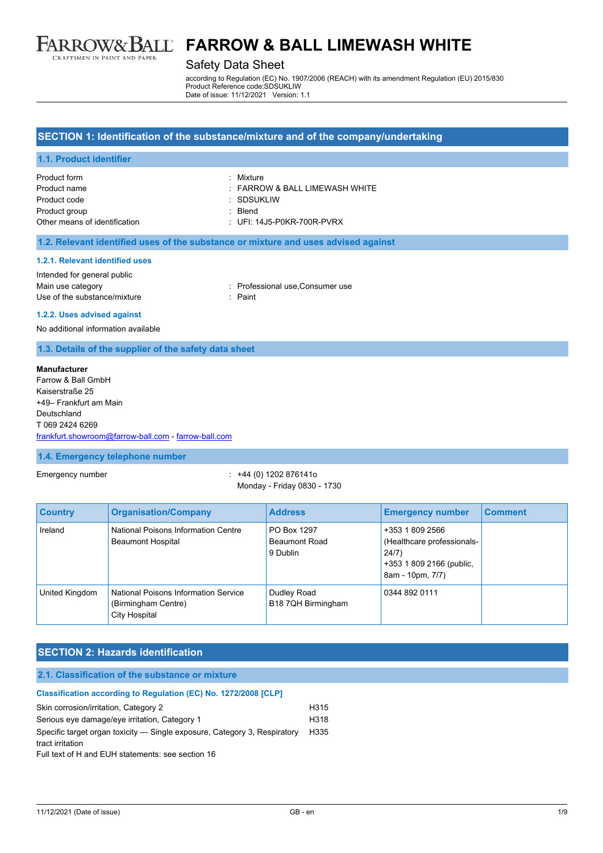

# Safety Data Sheet

according to Regulation (EC) No. 1907/2006 (REACH) with its amendment Regulation (EU) 2015/830 Product Reference code:SDSUKLIW Date of issue: 11/12/2021 Version: 1.1

#### **SECTION 1: Identification of the substance/mixture and of the company/undertaking**

#### **1.1. Product identifier**

| Product form                  | · Mixture                          |
|-------------------------------|------------------------------------|
| Product name                  | $\pm$ FARROW & BALL LIMEWASH WHITE |
| Product code                  | : SDSUKLIW                         |
| Product group                 | · Blend                            |
| Other means of identification | $\pm$ UFI: 14J5-P0KR-700R-PVRX     |

#### **1.2. Relevant identified uses of the substance or mixture and uses advised against**

#### **1.2.1. Relevant identified uses**

Intended for general public Main use category **Main use category in the category can be a structured as a structure of the consumer use** consumer use Use of the substance/mixture in the substance of the substance of the substance of the substance of the substance of the substance of the substance of the substance of the substance of the substance of the substance of the

**1.2.2. Uses advised against**

No additional information available

**1.3. Details of the supplier of the safety data sheet**

#### **Manufacturer**

Farrow & Ball GmbH Kaiserstraße 25 +49– Frankfurt am Main Deutschland T 069 2424 6269 [frankfurt.showroom@farrow-ball.com](mailto:frankfurt.showroom@farrow-ball.com) - [farrow-ball.com](http://farrow-ball.com/)

#### **1.4. Emergency telephone number**

Emergency number : +44 (0) 1202 876141o Monday - Friday 0830 - 1730

| <b>Country</b> | <b>Organisation/Company</b>                                                         | <b>Address</b>                                  | <b>Emergency number</b>                                                                                | <b>Comment</b> |
|----------------|-------------------------------------------------------------------------------------|-------------------------------------------------|--------------------------------------------------------------------------------------------------------|----------------|
| Ireland        | National Poisons Information Centre<br><b>Beaumont Hospital</b>                     | PO Box 1297<br><b>Beaumont Road</b><br>9 Dublin | +353 1 809 2566<br>(Healthcare professionals-<br>24/7)<br>+353 1 809 2166 (public,<br>8am - 10pm, 7/7) |                |
| United Kingdom | <b>National Poisons Information Service</b><br>(Birmingham Centre)<br>City Hospital | Dudley Road<br>B18 7QH Birmingham               | 0344 892 0111                                                                                          |                |

### **SECTION 2: Hazards identification**

| 2.1. Classification of the substance or mixture                           |                  |  |
|---------------------------------------------------------------------------|------------------|--|
| Classification according to Regulation (EC) No. 1272/2008 [CLP]           |                  |  |
| Skin corrosion/irritation, Category 2                                     | H <sub>315</sub> |  |
| Serious eye damage/eye irritation, Category 1                             | H318             |  |
| Specific target organ toxicity — Single exposure, Category 3, Respiratory | H335             |  |
| tract irritation                                                          |                  |  |
| Full text of H and EUH statements: see section 16                         |                  |  |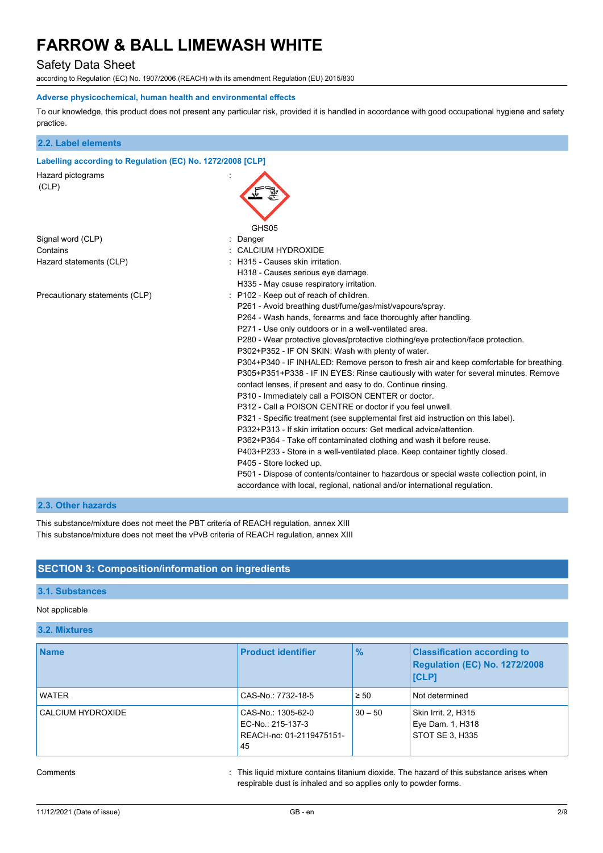# Safety Data Sheet

according to Regulation (EC) No. 1907/2006 (REACH) with its amendment Regulation (EU) 2015/830

#### **Adverse physicochemical, human health and environmental effects**

To our knowledge, this product does not present any particular risk, provided it is handled in accordance with good occupational hygiene and safety practice.

| 2.2. Label elements                                        |                                                                                                                                                                                                                                                                                                                                                                                                                                                                                                                                                                                                                                                                                                                                                                                                                                                                                                                                                                                                                                                                                                                                                                                                                                                                         |
|------------------------------------------------------------|-------------------------------------------------------------------------------------------------------------------------------------------------------------------------------------------------------------------------------------------------------------------------------------------------------------------------------------------------------------------------------------------------------------------------------------------------------------------------------------------------------------------------------------------------------------------------------------------------------------------------------------------------------------------------------------------------------------------------------------------------------------------------------------------------------------------------------------------------------------------------------------------------------------------------------------------------------------------------------------------------------------------------------------------------------------------------------------------------------------------------------------------------------------------------------------------------------------------------------------------------------------------------|
| Labelling according to Regulation (EC) No. 1272/2008 [CLP] |                                                                                                                                                                                                                                                                                                                                                                                                                                                                                                                                                                                                                                                                                                                                                                                                                                                                                                                                                                                                                                                                                                                                                                                                                                                                         |
| Hazard pictograms<br>(CLP)                                 | GHS <sub>05</sub>                                                                                                                                                                                                                                                                                                                                                                                                                                                                                                                                                                                                                                                                                                                                                                                                                                                                                                                                                                                                                                                                                                                                                                                                                                                       |
| Signal word (CLP)                                          | Danger                                                                                                                                                                                                                                                                                                                                                                                                                                                                                                                                                                                                                                                                                                                                                                                                                                                                                                                                                                                                                                                                                                                                                                                                                                                                  |
| Contains                                                   | <b>CALCIUM HYDROXIDE</b>                                                                                                                                                                                                                                                                                                                                                                                                                                                                                                                                                                                                                                                                                                                                                                                                                                                                                                                                                                                                                                                                                                                                                                                                                                                |
| Hazard statements (CLP)                                    | H315 - Causes skin irritation.<br>H318 - Causes serious eye damage.<br>H335 - May cause respiratory irritation.                                                                                                                                                                                                                                                                                                                                                                                                                                                                                                                                                                                                                                                                                                                                                                                                                                                                                                                                                                                                                                                                                                                                                         |
| Precautionary statements (CLP)                             | P102 - Keep out of reach of children.<br>P261 - Avoid breathing dust/fume/gas/mist/vapours/spray.<br>P264 - Wash hands, forearms and face thoroughly after handling.<br>P271 - Use only outdoors or in a well-ventilated area.<br>P280 - Wear protective gloves/protective clothing/eye protection/face protection.<br>P302+P352 - IF ON SKIN: Wash with plenty of water.<br>P304+P340 - IF INHALED: Remove person to fresh air and keep comfortable for breathing.<br>P305+P351+P338 - IF IN EYES: Rinse cautiously with water for several minutes. Remove<br>contact lenses, if present and easy to do. Continue rinsing.<br>P310 - Immediately call a POISON CENTER or doctor.<br>P312 - Call a POISON CENTRE or doctor if you feel unwell.<br>P321 - Specific treatment (see supplemental first aid instruction on this label).<br>P332+P313 - If skin irritation occurs: Get medical advice/attention.<br>P362+P364 - Take off contaminated clothing and wash it before reuse.<br>P403+P233 - Store in a well-ventilated place. Keep container tightly closed.<br>P405 - Store locked up.<br>P501 - Dispose of contents/container to hazardous or special waste collection point, in<br>accordance with local, regional, national and/or international regulation. |

# **2.3. Other hazards**

This substance/mixture does not meet the PBT criteria of REACH regulation, annex XIII This substance/mixture does not meet the vPvB criteria of REACH regulation, annex XIII

### **SECTION 3: Composition/information on ingredients**

#### **3.1. Substances**

# Not applicable

# **3.2. Mixtures**

| <b>Name</b>       | <b>Product identifier</b>                                                 | $\%$      | <b>Classification according to</b><br>Regulation (EC) No. 1272/2008<br><b>ICLP1</b> |
|-------------------|---------------------------------------------------------------------------|-----------|-------------------------------------------------------------------------------------|
| <b>WATER</b>      | CAS-No.: 7732-18-5                                                        | $\geq 50$ | Not determined                                                                      |
| CALCIUM HYDROXIDE | CAS-No.: 1305-62-0<br>EC-No.: 215-137-3<br>REACH-no: 01-2119475151-<br>45 | $30 - 50$ | Skin Irrit. 2, H315<br>Eye Dam. 1, H318<br>STOT SE 3. H335                          |

Comments **in the contains of the liquid mixture contains titanium dioxide.** The hazard of this substance arises when respirable dust is inhaled and so applies only to powder forms.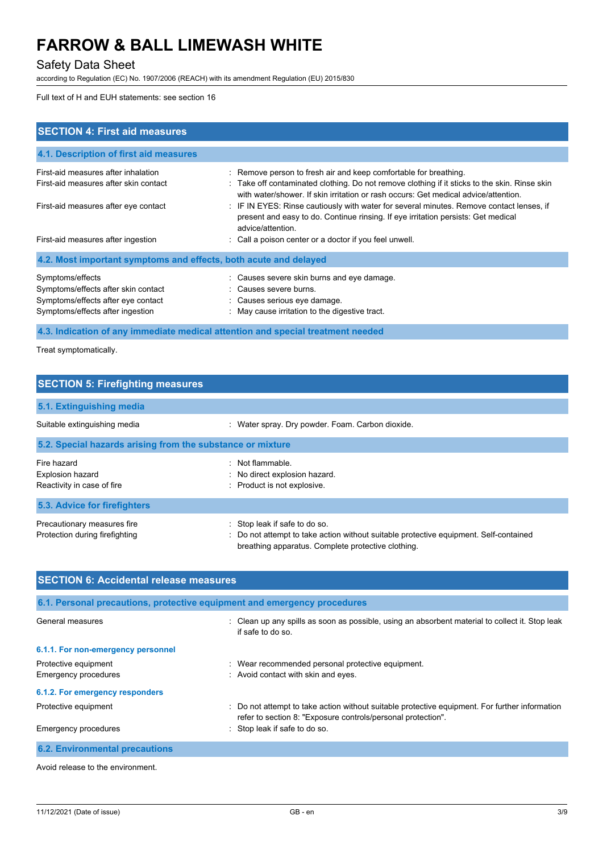# Safety Data Sheet

according to Regulation (EC) No. 1907/2006 (REACH) with its amendment Regulation (EU) 2015/830

Full text of H and EUH statements: see section 16

| <b>SECTION 4: First aid measures</b>                                                                                              |                                                                                                                                                                                                                                                          |
|-----------------------------------------------------------------------------------------------------------------------------------|----------------------------------------------------------------------------------------------------------------------------------------------------------------------------------------------------------------------------------------------------------|
| 4.1. Description of first aid measures                                                                                            |                                                                                                                                                                                                                                                          |
| First-aid measures after inhalation<br>First-aid measures after skin contact                                                      | : Remove person to fresh air and keep comfortable for breathing.<br>: Take off contaminated clothing. Do not remove clothing if it sticks to the skin. Rinse skin<br>with water/shower. If skin irritation or rash occurs: Get medical advice/attention. |
| First-aid measures after eye contact                                                                                              | : IF IN EYES: Rinse cautiously with water for several minutes. Remove contact lenses, if<br>present and easy to do. Continue rinsing. If eye irritation persists: Get medical<br>advice/attention.                                                       |
| First-aid measures after ingestion                                                                                                | : Call a poison center or a doctor if you feel unwell.                                                                                                                                                                                                   |
| 4.2. Most important symptoms and effects, both acute and delayed                                                                  |                                                                                                                                                                                                                                                          |
| Symptoms/effects<br>Symptoms/effects after skin contact<br>Symptoms/effects after eye contact<br>Symptoms/effects after ingestion | : Causes severe skin burns and eye damage.<br>: Causes severe burns.<br>: Causes serious eye damage.<br>: May cause irritation to the digestive tract.                                                                                                   |
|                                                                                                                                   | 4.3. Indication of any immediate medical attention and special treatment needed                                                                                                                                                                          |

Treat symptomatically.

| <b>SECTION 5: Firefighting measures</b>                       |                                                                                                                                                                              |
|---------------------------------------------------------------|------------------------------------------------------------------------------------------------------------------------------------------------------------------------------|
| 5.1. Extinguishing media                                      |                                                                                                                                                                              |
| Suitable extinguishing media                                  | : Water spray. Dry powder. Foam. Carbon dioxide.                                                                                                                             |
| 5.2. Special hazards arising from the substance or mixture    |                                                                                                                                                                              |
| Fire hazard<br><b>Explosion hazard</b>                        | : Not flammable.<br>: No direct explosion hazard.                                                                                                                            |
| Reactivity in case of fire<br>5.3. Advice for firefighters    | : Product is not explosive.                                                                                                                                                  |
| Precautionary measures fire<br>Protection during firefighting | : Stop leak if safe to do so.<br>: Do not attempt to take action without suitable protective equipment. Self-contained<br>breathing apparatus. Complete protective clothing. |

| <b>SECTION 6: Accidental release measures</b>                            |                                                                                                                                                                |  |
|--------------------------------------------------------------------------|----------------------------------------------------------------------------------------------------------------------------------------------------------------|--|
| 6.1. Personal precautions, protective equipment and emergency procedures |                                                                                                                                                                |  |
| General measures                                                         | Clean up any spills as soon as possible, using an absorbent material to collect it. Stop leak<br>if safe to do so                                              |  |
| 6.1.1. For non-emergency personnel                                       |                                                                                                                                                                |  |
| Protective equipment                                                     | Wear recommended personal protective equipment.                                                                                                                |  |
| Emergency procedures                                                     | : Avoid contact with skin and eyes.                                                                                                                            |  |
| 6.1.2. For emergency responders                                          |                                                                                                                                                                |  |
| Protective equipment                                                     | : Do not attempt to take action without suitable protective equipment. For further information<br>refer to section 8: "Exposure controls/personal protection". |  |
| Emergency procedures                                                     | : Stop leak if safe to do so.                                                                                                                                  |  |
| <b>6.2. Environmental precautions</b>                                    |                                                                                                                                                                |  |

Avoid release to the environment.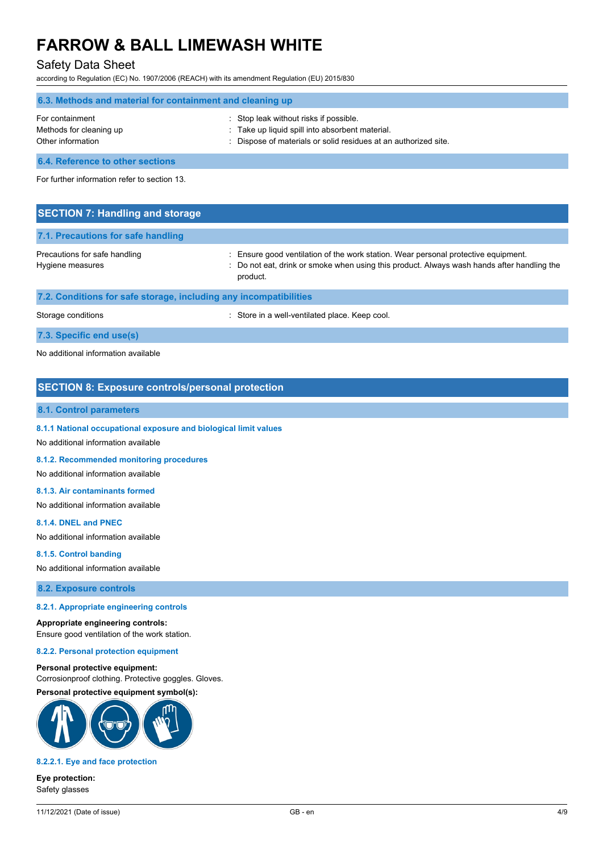# Safety Data Sheet

according to Regulation (EC) No. 1907/2006 (REACH) with its amendment Regulation (EU) 2015/830

| 6.3. Methods and material for containment and cleaning up       |                                                                                                                                                            |  |
|-----------------------------------------------------------------|------------------------------------------------------------------------------------------------------------------------------------------------------------|--|
| For containment<br>Methods for cleaning up<br>Other information | Stop leak without risks if possible.<br>. Take up liquid spill into absorbent material.<br>: Dispose of materials or solid residues at an authorized site. |  |
| <b>6.4. Reference to other sections</b>                         |                                                                                                                                                            |  |

For further information refer to section 13.

| <b>SECTION 7: Handling and storage</b>                            |                                                                                                                                                                                            |
|-------------------------------------------------------------------|--------------------------------------------------------------------------------------------------------------------------------------------------------------------------------------------|
| 7.1. Precautions for safe handling                                |                                                                                                                                                                                            |
| Precautions for safe handling<br>Hygiene measures                 | Ensure good ventilation of the work station. Wear personal protective equipment.<br>: Do not eat, drink or smoke when using this product. Always wash hands after handling the<br>product. |
| 7.2. Conditions for safe storage, including any incompatibilities |                                                                                                                                                                                            |
| Storage conditions                                                | : Store in a well-ventilated place. Keep cool.                                                                                                                                             |

# **7.3. Specific end use(s)**

No additional information available

### **SECTION 8: Exposure controls/personal protection**

#### **8.1. Control parameters**

#### **8.1.1 National occupational exposure and biological limit values**

No additional information available

#### **8.1.2. Recommended monitoring procedures**

No additional information available

#### **8.1.3. Air contaminants formed**

No additional information available

#### **8.1.4. DNEL and PNEC**

No additional information available

#### **8.1.5. Control banding**

No additional information available

**8.2. Exposure controls**

#### **8.2.1. Appropriate engineering controls**

#### **Appropriate engineering controls:**

Ensure good ventilation of the work station.

#### **8.2.2. Personal protection equipment**

#### **Personal protective equipment:**

Corrosionproof clothing. Protective goggles. Gloves. **Personal protective equipment symbol(s):**



#### **8.2.2.1. Eye and face protection**

**Eye protection:** Safety glasses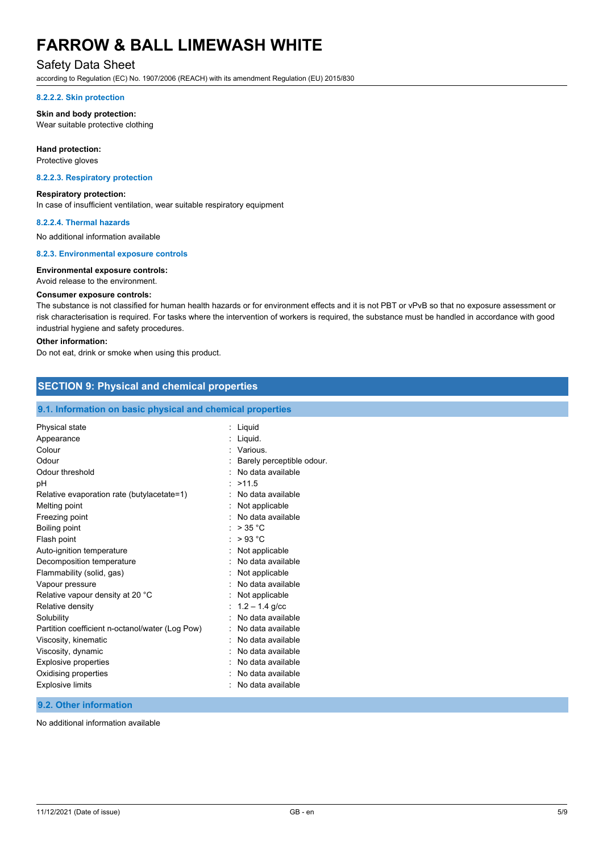# Safety Data Sheet

according to Regulation (EC) No. 1907/2006 (REACH) with its amendment Regulation (EU) 2015/830

#### **8.2.2.2. Skin protection**

#### **Skin and body protection:**

Wear suitable protective clothing

#### **Hand protection:**

Protective gloves

#### **8.2.2.3. Respiratory protection**

#### **Respiratory protection:**

In case of insufficient ventilation, wear suitable respiratory equipment

#### **8.2.2.4. Thermal hazards**

No additional information available

#### **8.2.3. Environmental exposure controls**

#### **Environmental exposure controls:**

#### Avoid release to the environment.

#### **Consumer exposure controls:**

The substance is not classified for human health hazards or for environment effects and it is not PBT or vPvB so that no exposure assessment or risk characterisation is required. For tasks where the intervention of workers is required, the substance must be handled in accordance with good industrial hygiene and safety procedures.

#### **Other information:**

Do not eat, drink or smoke when using this product.

### **SECTION 9: Physical and chemical properties**

#### **9.1. Information on basic physical and chemical properties**

| Physical state                                  | : Liquid                  |
|-------------------------------------------------|---------------------------|
| Appearance                                      | Liquid.                   |
| Colour                                          | : Various.                |
| Odour                                           | Barely perceptible odour. |
| Odour threshold                                 | No data available         |
| рH                                              | >11.5                     |
| Relative evaporation rate (butylacetate=1)      | No data available         |
| Melting point                                   | Not applicable            |
| Freezing point                                  | No data available         |
| Boiling point                                   | $>$ 35 °C                 |
| Flash point                                     | >93 °C                    |
| Auto-ignition temperature                       | Not applicable            |
| Decomposition temperature                       | No data available         |
| Flammability (solid, gas)                       | Not applicable            |
| Vapour pressure                                 | No data available         |
| Relative vapour density at 20 °C                | Not applicable            |
| Relative density                                | $1.2 - 1.4$ g/cc          |
| Solubility                                      | No data available         |
| Partition coefficient n-octanol/water (Log Pow) | No data available         |
| Viscosity, kinematic                            | No data available         |
| Viscosity, dynamic                              | No data available         |
| <b>Explosive properties</b>                     | No data available         |
| Oxidising properties                            | No data available         |
| Explosive limits                                | No data available         |
|                                                 |                           |

### **9.2. Other information**

No additional information available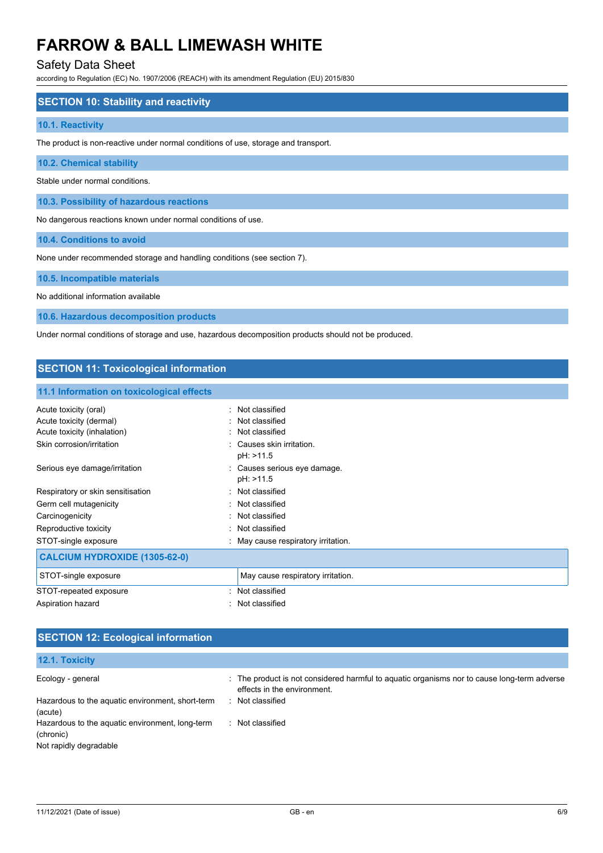# Safety Data Sheet

according to Regulation (EC) No. 1907/2006 (REACH) with its amendment Regulation (EU) 2015/830

### **SECTION 10: Stability and reactivity**

#### **10.1. Reactivity**

The product is non-reactive under normal conditions of use, storage and transport.

**10.2. Chemical stability**

Stable under normal conditions.

**10.3. Possibility of hazardous reactions**

No dangerous reactions known under normal conditions of use.

**10.4. Conditions to avoid**

None under recommended storage and handling conditions (see section 7).

#### **10.5. Incompatible materials**

No additional information available

**10.6. Hazardous decomposition products**

Under normal conditions of storage and use, hazardous decomposition products should not be produced.

# **SECTION 11: Toxicological information**

### **11.1 Information on toxicological effects**

| Acute toxicity (oral)                | Not classified<br>٠.                |
|--------------------------------------|-------------------------------------|
| Acute toxicity (dermal)              | : Not classified                    |
| Acute toxicity (inhalation)          | : Not classified                    |
| Skin corrosion/irritation            | : Causes skin irritation.           |
|                                      | pH: >11.5                           |
| Serious eye damage/irritation        | : Causes serious eye damage.        |
|                                      | pH: >11.5                           |
| Respiratory or skin sensitisation    | : Not classified                    |
| Germ cell mutagenicity               | : Not classified                    |
| Carcinogenicity                      | : Not classified                    |
| Reproductive toxicity                | : Not classified                    |
| STOT-single exposure                 | : May cause respiratory irritation. |
| <b>CALCIUM HYDROXIDE (1305-62-0)</b> |                                     |
| STOT-single exposure                 | May cause respiratory irritation.   |
| STOT-repeated exposure               | Not classified                      |
| Aspiration hazard                    | : Not classified                    |

# **SECTION 12: Ecological information**

| 12.1. Toxicity                                                                         |                                                                                                                            |
|----------------------------------------------------------------------------------------|----------------------------------------------------------------------------------------------------------------------------|
| Ecology - general                                                                      | : The product is not considered harmful to aquatic organisms nor to cause long-term adverse<br>effects in the environment. |
| Hazardous to the aquatic environment, short-term<br>(acute)                            | Not classified<br><b>P</b>                                                                                                 |
| Hazardous to the aquatic environment, long-term<br>(chronic)<br>Not rapidly degradable | Not classified                                                                                                             |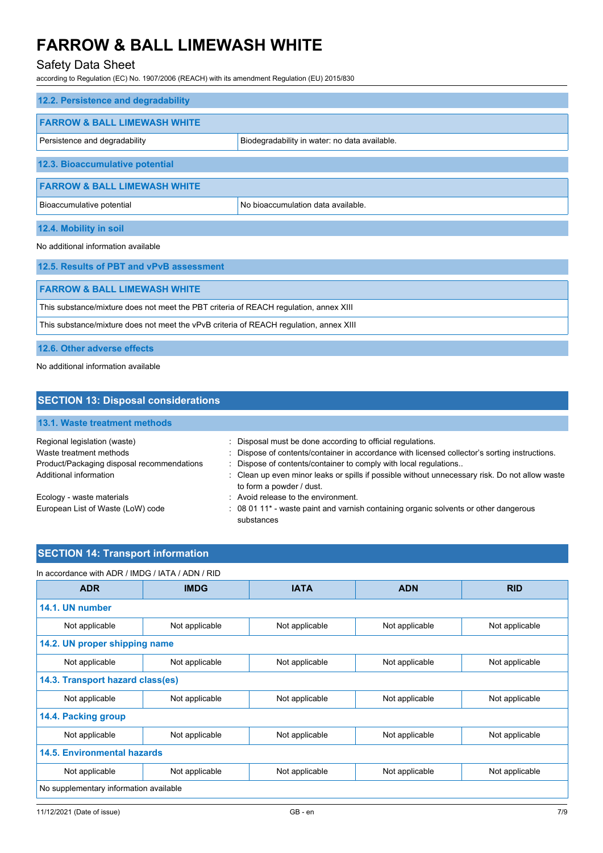# Safety Data Sheet

according to Regulation (EC) No. 1907/2006 (REACH) with its amendment Regulation (EU) 2015/830

| 12.2. Persistence and degradability     |                                               |
|-----------------------------------------|-----------------------------------------------|
| <b>FARROW &amp; BALL LIMEWASH WHITE</b> |                                               |
| Persistence and degradability           | Biodegradability in water: no data available. |
| 12.3. Bioaccumulative potential         |                                               |
| <b>FARROW &amp; BALL LIMEWASH WHITE</b> |                                               |
| Bioaccumulative potential               | No bioaccumulation data available.            |
| 12.4. Mobility in soil                  |                                               |

#### No additional information available

| 12.5. Results of PBT and vPvB assessment                                               |  |
|----------------------------------------------------------------------------------------|--|
|                                                                                        |  |
| <b>FARROW &amp; BALL LIMEWASH WHITE</b>                                                |  |
| This substance/mixture does not meet the PBT criteria of REACH regulation, annex XIII  |  |
| This substance/mixture does not meet the vPvB criteria of REACH regulation, annex XIII |  |
|                                                                                        |  |

**12.6. Other adverse effects**

No additional information available

| <b>SECTION 13: Disposal considerations</b> |                                                                                                                            |  |  |
|--------------------------------------------|----------------------------------------------------------------------------------------------------------------------------|--|--|
| 13.1. Waste treatment methods              |                                                                                                                            |  |  |
| Regional legislation (waste)               | : Disposal must be done according to official regulations.                                                                 |  |  |
| Waste treatment methods                    | : Dispose of contents/container in accordance with licensed collector's sorting instructions.                              |  |  |
| Product/Packaging disposal recommendations | : Dispose of contents/container to comply with local regulations                                                           |  |  |
| Additional information                     | : Clean up even minor leaks or spills if possible without unnecessary risk. Do not allow waste<br>to form a powder / dust. |  |  |
| Ecology - waste materials                  | : Avoid release to the environment.                                                                                        |  |  |
| European List of Waste (LoW) code          | : 08 01 11* - waste paint and varnish containing organic solvents or other dangerous<br>substances                         |  |  |

# **SECTION 14: Transport information**

| In accordance with ADR / IMDG / IATA / ADN / RID |                |                |                |                |
|--------------------------------------------------|----------------|----------------|----------------|----------------|
| <b>ADR</b>                                       | <b>IMDG</b>    | <b>IATA</b>    | <b>ADN</b>     | <b>RID</b>     |
| 14.1. UN number                                  |                |                |                |                |
| Not applicable                                   | Not applicable | Not applicable | Not applicable | Not applicable |
| 14.2. UN proper shipping name                    |                |                |                |                |
| Not applicable                                   | Not applicable | Not applicable | Not applicable | Not applicable |
| 14.3. Transport hazard class(es)                 |                |                |                |                |
| Not applicable                                   | Not applicable | Not applicable | Not applicable | Not applicable |
| 14.4. Packing group                              |                |                |                |                |
| Not applicable                                   | Not applicable | Not applicable | Not applicable | Not applicable |
| <b>14.5. Environmental hazards</b>               |                |                |                |                |
| Not applicable                                   | Not applicable | Not applicable | Not applicable | Not applicable |
| No supplementary information available           |                |                |                |                |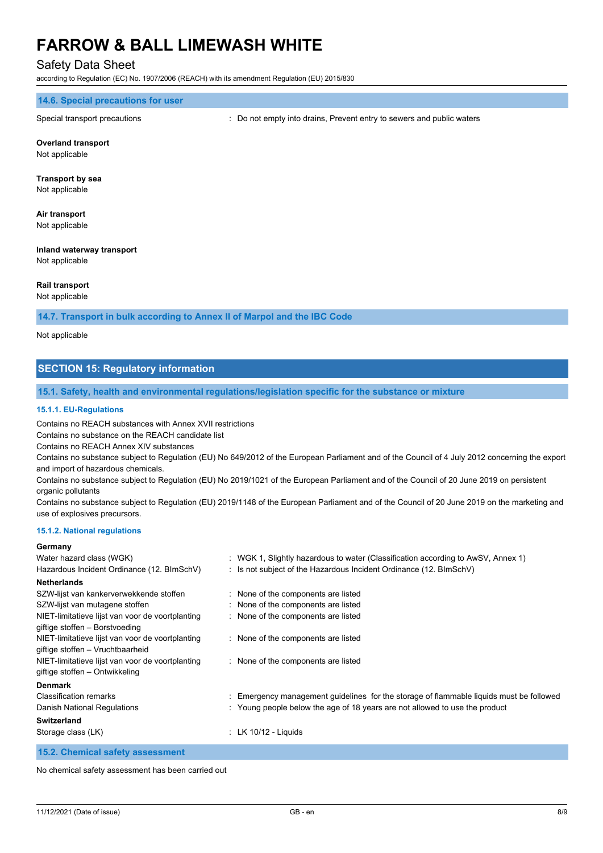### Safety Data Sheet

according to Regulation (EC) No. 1907/2006 (REACH) with its amendment Regulation (EU) 2015/830

#### **14.6. Special precautions for user**

Special transport precautions : Do not empty into drains, Prevent entry to sewers and public waters

#### **Overland transport**

Not applicable

# **Transport by sea**

Not applicable

# **Air transport**

Not applicable

#### **Inland waterway transport** Not applicable

#### **Rail transport** Not applicable

#### **14.7. Transport in bulk according to Annex II of Marpol and the IBC Code**

Not applicable

# **SECTION 15: Regulatory information**

#### **15.1. Safety, health and environmental regulations/legislation specific for the substance or mixture**

#### **15.1.1. EU-Regulations**

Contains no REACH substances with Annex XVII restrictions

Contains no substance on the REACH candidate list

Contains no REACH Annex XIV substances

Contains no substance subject to Regulation (EU) No 649/2012 of the European Parliament and of the Council of 4 July 2012 concerning the export and import of hazardous chemicals.

Contains no substance subject to Regulation (EU) No 2019/1021 of the European Parliament and of the Council of 20 June 2019 on persistent organic pollutants

Contains no substance subject to Regulation (EU) 2019/1148 of the European Parliament and of the Council of 20 June 2019 on the marketing and use of explosives precursors.

#### **15.1.2. National regulations**

#### **Germany**

| Water hazard class (WGK)                                                             | : WGK 1, Slightly hazardous to water (Classification according to AwSV, Annex 1)      |
|--------------------------------------------------------------------------------------|---------------------------------------------------------------------------------------|
| Hazardous Incident Ordinance (12. BImSchV)                                           | : Is not subject of the Hazardous Incident Ordinance (12. BImSchV)                    |
| <b>Netherlands</b>                                                                   |                                                                                       |
| SZW-lijst van kankerverwekkende stoffen                                              | : None of the components are listed                                                   |
| SZW-lijst van mutagene stoffen                                                       | : None of the components are listed                                                   |
| NIET-limitatieve lijst van voor de voortplanting<br>giftige stoffen - Borstvoeding   | : None of the components are listed                                                   |
| NIET-limitatieve lijst van voor de voortplanting<br>giftige stoffen - Vruchtbaarheid | : None of the components are listed                                                   |
| NIET-limitatieve lijst van voor de voortplanting<br>giftige stoffen – Ontwikkeling   | : None of the components are listed                                                   |
| <b>Denmark</b>                                                                       |                                                                                       |
| <b>Classification remarks</b>                                                        | Emergency management guidelines for the storage of flammable liquids must be followed |
| Danish National Regulations                                                          | : Young people below the age of 18 years are not allowed to use the product           |
| <b>Switzerland</b>                                                                   |                                                                                       |
| Storage class (LK)                                                                   | $\pm$ LK 10/12 - Liquids                                                              |

**15.2. Chemical safety assessment**

No chemical safety assessment has been carried out